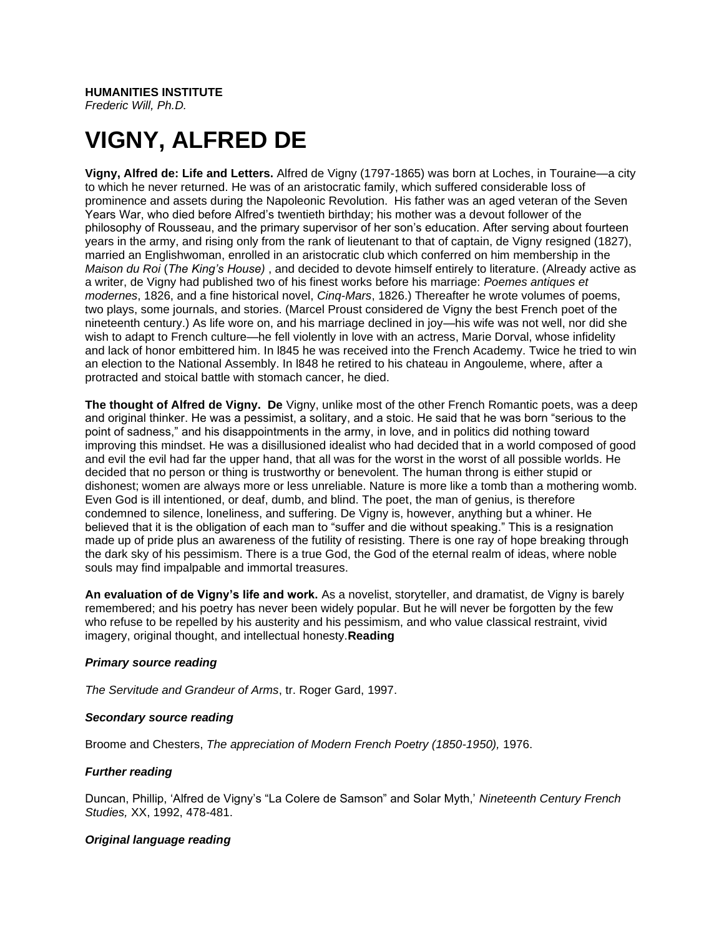## **HUMANITIES INSTITUTE**

*Frederic Will, Ph.D.*

# **VIGNY, ALFRED DE**

**Vigny, Alfred de: Life and Letters.** Alfred de Vigny (1797-1865) was born at Loches, in Touraine—a city to which he never returned. He was of an aristocratic family, which suffered considerable loss of prominence and assets during the Napoleonic Revolution. His father was an aged veteran of the Seven Years War, who died before Alfred's twentieth birthday; his mother was a devout follower of the philosophy of Rousseau, and the primary supervisor of her son's education. After serving about fourteen years in the army, and rising only from the rank of lieutenant to that of captain, de Vigny resigned (1827), married an Englishwoman, enrolled in an aristocratic club which conferred on him membership in the *Maison du Roi* (*The King's House)* , and decided to devote himself entirely to literature. (Already active as a writer, de Vigny had published two of his finest works before his marriage: *Poemes antiques et modernes*, 1826, and a fine historical novel, *Cinq-Mars*, 1826.) Thereafter he wrote volumes of poems, two plays, some journals, and stories. (Marcel Proust considered de Vigny the best French poet of the nineteenth century.) As life wore on, and his marriage declined in joy—his wife was not well, nor did she wish to adapt to French culture—he fell violently in love with an actress, Marie Dorval, whose infidelity and lack of honor embittered him. In l845 he was received into the French Academy. Twice he tried to win an election to the National Assembly. In l848 he retired to his chateau in Angouleme, where, after a protracted and stoical battle with stomach cancer, he died.

**The thought of Alfred de Vigny. De** Vigny, unlike most of the other French Romantic poets, was a deep and original thinker. He was a pessimist, a solitary, and a stoic. He said that he was born "serious to the point of sadness," and his disappointments in the army, in love, and in politics did nothing toward improving this mindset. He was a disillusioned idealist who had decided that in a world composed of good and evil the evil had far the upper hand, that all was for the worst in the worst of all possible worlds. He decided that no person or thing is trustworthy or benevolent. The human throng is either stupid or dishonest; women are always more or less unreliable. Nature is more like a tomb than a mothering womb. Even God is ill intentioned, or deaf, dumb, and blind. The poet, the man of genius, is therefore condemned to silence, loneliness, and suffering. De Vigny is, however, anything but a whiner. He believed that it is the obligation of each man to "suffer and die without speaking." This is a resignation made up of pride plus an awareness of the futility of resisting. There is one ray of hope breaking through the dark sky of his pessimism. There is a true God, the God of the eternal realm of ideas, where noble souls may find impalpable and immortal treasures.

**An evaluation of de Vigny's life and work.** As a novelist, storyteller, and dramatist, de Vigny is barely remembered; and his poetry has never been widely popular. But he will never be forgotten by the few who refuse to be repelled by his austerity and his pessimism, and who value classical restraint, vivid imagery, original thought, and intellectual honesty.**Reading**

### *Primary source reading*

*The Servitude and Grandeur of Arms*, tr. Roger Gard, 1997.

### *Secondary source reading*

Broome and Chesters, *The appreciation of Modern French Poetry (1850-1950),* 1976.

### *Further reading*

Duncan, Phillip, 'Alfred de Vigny's "La Colere de Samson" and Solar Myth,' *Nineteenth Century French Studies,* XX, 1992, 478-481.

### *Original language reading*